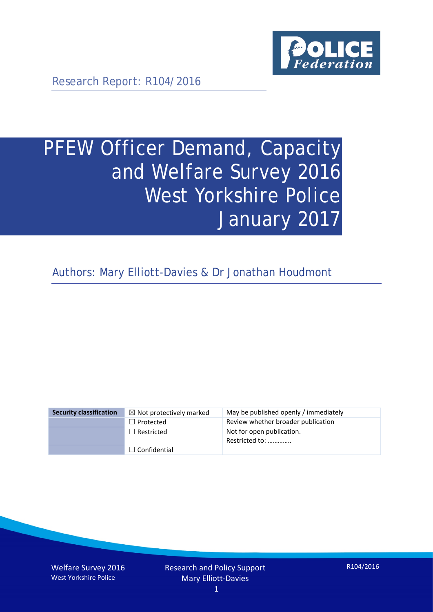

Research Report: R104/2016

# PFEW Officer Demand, Capacity and Welfare Survey 2016 West Yorkshire Police January 2017

Authors: Mary Elliott-Davies & Dr Jonathan Houdmont

| <b>Security classification</b> | $\boxtimes$ Not protectively marked | May be published openly / immediately       |
|--------------------------------|-------------------------------------|---------------------------------------------|
|                                | $\Box$ Protected                    | Review whether broader publication          |
|                                | $\Box$ Restricted                   | Not for open publication.<br>Restricted to: |
|                                | $\Box$ Confidential                 |                                             |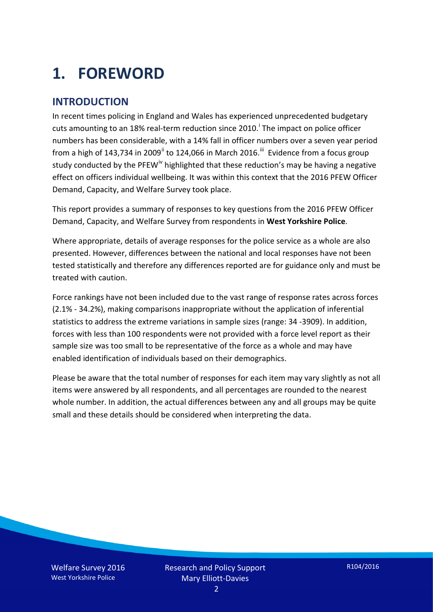# **1. FOREWORD**

#### **INTRODUCTION**

In recent times policing in England and Wales has experienced unprecedented budgetary cuts amount[i](#page-15-0)ng to an 18% real-term reduction since 2010.<sup>1</sup> The impact on police officer numbers has been considerable, with a 14% fall in officer numbers over a seven year period from a high of 143,734 in 2009<sup>[ii](#page-15-1)</sup> to 124,066 in March 2016.<sup>[iii](#page-15-2)</sup> Evidence from a focus group study conducted by the PFEW<sup>[iv](#page-15-3)</sup> highlighted that these reduction's may be having a negative effect on officers individual wellbeing. It was within this context that the 2016 PFEW Officer Demand, Capacity, and Welfare Survey took place.

This report provides a summary of responses to key questions from the 2016 PFEW Officer Demand, Capacity, and Welfare Survey from respondents in **West Yorkshire Police**.

Where appropriate, details of average responses for the police service as a whole are also presented. However, differences between the national and local responses have not been tested statistically and therefore any differences reported are for guidance only and must be treated with caution.

Force rankings have not been included due to the vast range of response rates across forces (2.1% - 34.2%), making comparisons inappropriate without the application of inferential statistics to address the extreme variations in sample sizes (range: 34 -3909). In addition, forces with less than 100 respondents were not provided with a force level report as their sample size was too small to be representative of the force as a whole and may have enabled identification of individuals based on their demographics.

Please be aware that the total number of responses for each item may vary slightly as not all items were answered by all respondents, and all percentages are rounded to the nearest whole number. In addition, the actual differences between any and all groups may be quite small and these details should be considered when interpreting the data.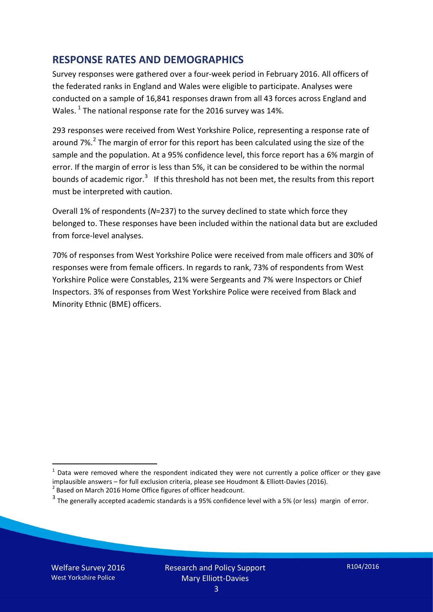#### **RESPONSE RATES AND DEMOGRAPHICS**

Survey responses were gathered over a four-week period in February 2016. All officers of the federated ranks in England and Wales were eligible to participate. Analyses were conducted on a sample of 16,841 responses drawn from all 43 forces across England and Wales.  $^1$  $^1$  The national response rate for the 2016 survey was 14%.

293 responses were received from West Yorkshire Police, representing a response rate of around 7%.<sup>[2](#page-2-1)</sup> The margin of error for this report has been calculated using the size of the sample and the population. At a 95% confidence level, this force report has a 6% margin of error. If the margin of error is less than 5%, it can be considered to be within the normal bounds of academic rigor.<sup>[3](#page-2-2)</sup> If this threshold has not been met, the results from this report must be interpreted with caution.

Overall 1% of respondents (*N*=237) to the survey declined to state which force they belonged to. These responses have been included within the national data but are excluded from force-level analyses.

70% of responses from West Yorkshire Police were received from male officers and 30% of responses were from female officers. In regards to rank, 73% of respondents from West Yorkshire Police were Constables, 21% were Sergeants and 7% were Inspectors or Chief Inspectors. 3% of responses from West Yorkshire Police were received from Black and Minority Ethnic (BME) officers.

<u>.</u>

<span id="page-2-0"></span> $1$  Data were removed where the respondent indicated they were not currently a police officer or they gave implausible answers – for full exclusion criteria, please see Houdmont & Elliott-Davies (2016).<br><sup>2</sup> Based on March 2016 Home Office figures of officer headcount.

<span id="page-2-1"></span>

<span id="page-2-2"></span> $3$  The generally accepted academic standards is a 95% confidence level with a 5% (or less) margin of error.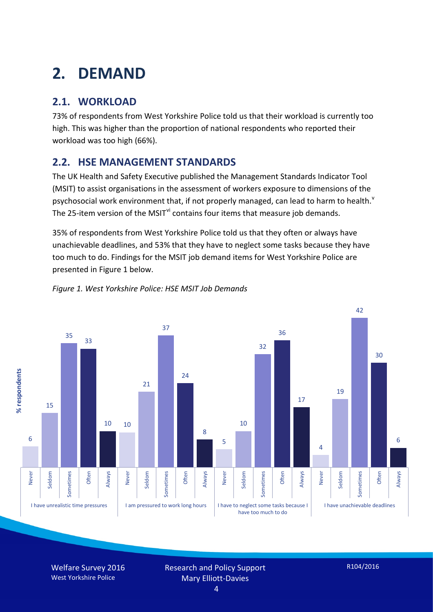# **2. DEMAND**

## **2.1. WORKLOAD**

73% of respondents from West Yorkshire Police told us that their workload is currently too high. This was higher than the proportion of national respondents who reported their workload was too high (66%).

#### **2.2. HSE MANAGEMENT STANDARDS**

The UK Health and Safety Executive published the Management Standards Indicator Tool (MSIT) to assist organisations in the assessment of workers exposure to dimensions of the psychosocial work en[v](#page-15-4)ironment that, if not properly managed, can lead to harm to health.<sup>v</sup> The 25-item version of the MSIT<sup>[vi](#page-15-5)</sup> contains four items that measure job demands.

35% of respondents from West Yorkshire Police told us that they often or always have unachievable deadlines, and 53% that they have to neglect some tasks because they have too much to do. Findings for the MSIT job demand items for West Yorkshire Police are presented in Figure 1 below.



#### *Figure 1. West Yorkshire Police: HSE MSIT Job Demands*

Welfare Survey 2016 West Yorkshire Police

Research and Policy Support Mary Elliott-Davies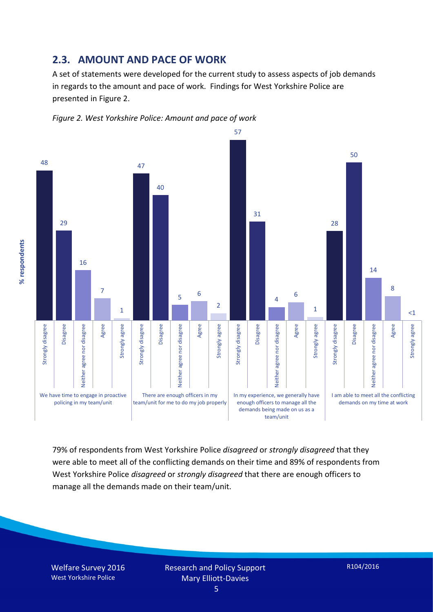#### **2.3. AMOUNT AND PACE OF WORK**

A set of statements were developed for the current study to assess aspects of job demands in regards to the amount and pace of work. Findings for West Yorkshire Police are presented in Figure 2.





79% of respondents from West Yorkshire Police *disagreed* or *strongly disagreed* that they were able to meet all of the conflicting demands on their time and 89% of respondents from West Yorkshire Police *disagreed* or *strongly disagreed* that there are enough officers to manage all the demands made on their team/unit.

Welfare Survey 2016 West Yorkshire Police

% respondents **% respondents**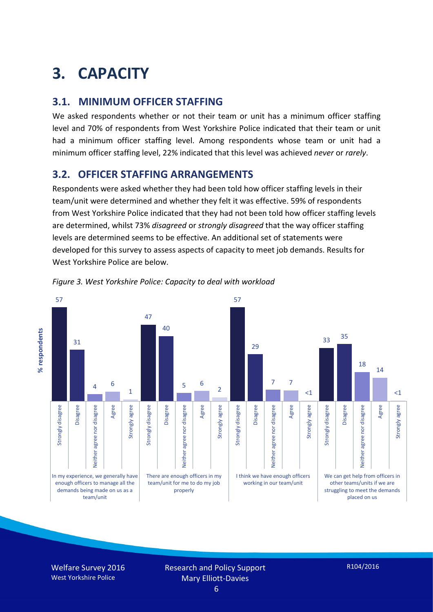# **3. CAPACITY**

#### **3.1. MINIMUM OFFICER STAFFING**

We asked respondents whether or not their team or unit has a minimum officer staffing level and 70% of respondents from West Yorkshire Police indicated that their team or unit had a minimum officer staffing level. Among respondents whose team or unit had a minimum officer staffing level, 22% indicated that this level was achieved *never* or *rarely*.

#### **3.2. OFFICER STAFFING ARRANGEMENTS**

Respondents were asked whether they had been told how officer staffing levels in their team/unit were determined and whether they felt it was effective. 59% of respondents from West Yorkshire Police indicated that they had not been told how officer staffing levels are determined, whilst 73% *disagreed* or *strongly disagreed* that the way officer staffing levels are determined seems to be effective. An additional set of statements were developed for this survey to assess aspects of capacity to meet job demands. Results for West Yorkshire Police are below.



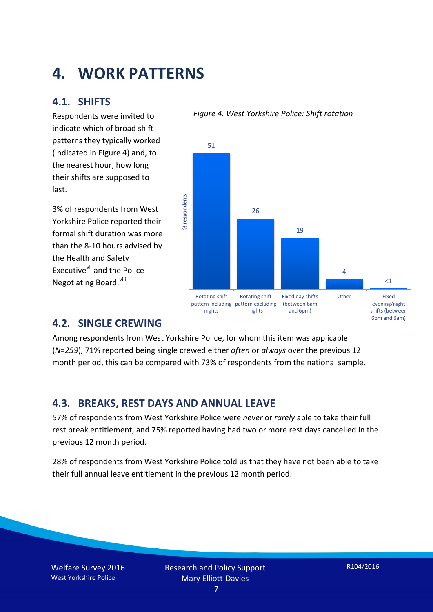## **4. WORK PATTERNS**

#### **4.1. SHIFTS**

Respondents were invited to indicate which of broad shift patterns they typically worked (indicated in Figure 4) and, to the nearest hour, how long their shifts are supposed to last.

3% of respondents from West Yorkshire Police reported their formal shift duration was more than the 8-10 hours advised by the Health and Safety Executive<sup>[vii](#page-15-6)</sup> and the Police Negotiating Board.<sup>[viii](#page-15-7)</sup>





#### **4.2. SINGLE CREWING**

Among respondents from West Yorkshire Police, for whom this item was applicable (*N*=*259*), 71% reported being single crewed either *often* or *always* over the previous 12 month period, this can be compared with 73% of respondents from the national sample.

#### **4.3. BREAKS, REST DAYS AND ANNUAL LEAVE**

57% of respondents from West Yorkshire Police were *never* or *rarely* able to take their full rest break entitlement, and 75% reported having had two or more rest days cancelled in the previous 12 month period.

28% of respondents from West Yorkshire Police told us that they have not been able to take their full annual leave entitlement in the previous 12 month period.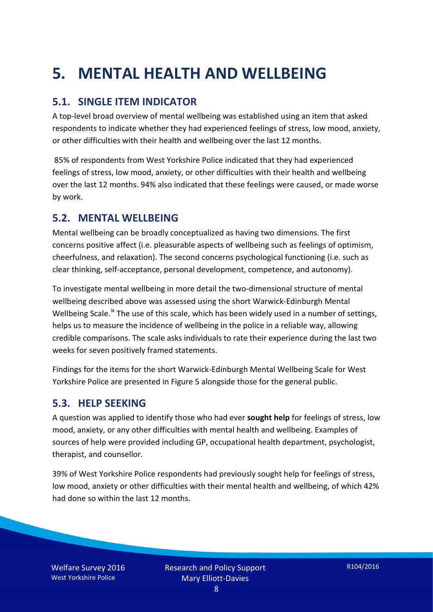# **5. MENTAL HEALTH AND WELLBEING**

#### **5.1. SINGLE ITEM INDICATOR**

A top-level broad overview of mental wellbeing was established using an item that asked respondents to indicate whether they had experienced feelings of stress, low mood, anxiety, or other difficulties with their health and wellbeing over the last 12 months.

85% of respondents from West Yorkshire Police indicated that they had experienced feelings of stress, low mood, anxiety, or other difficulties with their health and wellbeing over the last 12 months. 94% also indicated that these feelings were caused, or made worse by work.

#### **5.2. MENTAL WELLBEING**

Mental wellbeing can be broadly conceptualized as having two dimensions. The first concerns positive affect (i.e. pleasurable aspects of wellbeing such as feelings of optimism, cheerfulness, and relaxation). The second concerns psychological functioning (i.e. such as clear thinking, self-acceptance, personal development, competence, and autonomy).

To investigate mental wellbeing in more detail the two-dimensional structure of mental wellbeing described above was assessed using the short Warwick-Edinburgh Mental Wellbeing Scale.<sup>[ix](#page-15-8)</sup> The use of this scale, which has been widely used in a number of settings, helps us to measure the incidence of wellbeing in the police in a reliable way, allowing credible comparisons. The scale asks individuals to rate their experience during the last two weeks for seven positively framed statements.

Findings for the items for the short Warwick-Edinburgh Mental Wellbeing Scale for West Yorkshire Police are presented in Figure 5 alongside those for the general public.

#### **5.3. HELP SEEKING**

A question was applied to identify those who had ever **sought help** for feelings of stress, low mood, anxiety, or any other difficulties with mental health and wellbeing. Examples of sources of help were provided including GP, occupational health department, psychologist, therapist, and counsellor.

39% of West Yorkshire Police respondents had previously sought help for feelings of stress, low mood, anxiety or other difficulties with their mental health and wellbeing, of which 42% had done so within the last 12 months.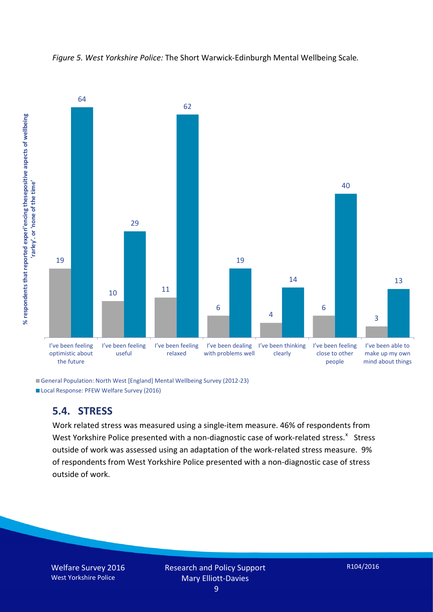



General Population: North West [England] Mental Wellbeing Survey (2012-23) Local Response: PFEW Welfare Survey (2016)

#### **5.4. STRESS**

Work related stress was measured using a single-item measure. 46% of respondents from West Yorkshire Police presented with a non-diagnostic case of work-related stress.<sup>[x](#page-15-9)</sup> Stress outside of work was assessed using an adaptation of the work-related stress measure. 9% of respondents from West Yorkshire Police presented with a non-diagnostic case of stress outside of work.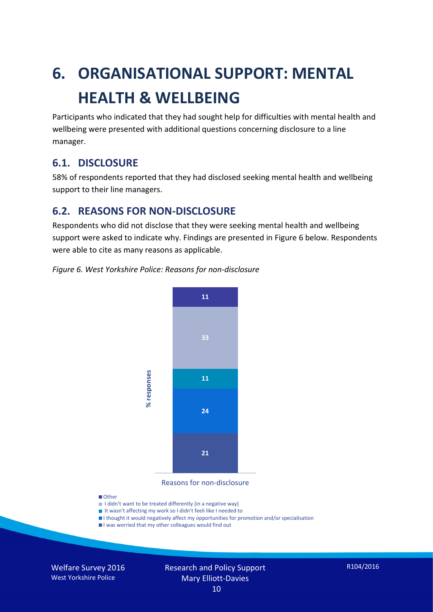# **6. ORGANISATIONAL SUPPORT: MENTAL HEALTH & WELLBEING**

Participants who indicated that they had sought help for difficulties with mental health and wellbeing were presented with additional questions concerning disclosure to a line manager.

#### **6.1. DISCLOSURE**

58% of respondents reported that they had disclosed seeking mental health and wellbeing support to their line managers.

#### **6.2. REASONS FOR NON-DISCLOSURE**

Respondents who did not disclose that they were seeking mental health and wellbeing support were asked to indicate why. Findings are presented in Figure 6 below. Respondents were able to cite as many reasons as applicable.

#### *Figure 6. West Yorkshire Police: Reasons for non-disclosure*



Reasons for non-disclosure

#### **D**Other

- I didn't want to be treated differently (in a negative way)
- I It wasn't affecting my work so I didn't feeli like I needed to
- I thought it would negatively affect my opportunities for promotion and/or specialisation
- I was worried that my other colleagues would find out

Welfare Survey 2016 West Yorkshire Police

Research and Policy Support Mary Elliott-Davies 10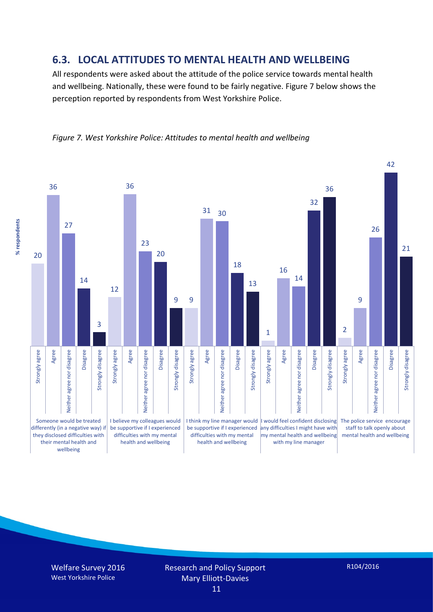#### **6.3. LOCAL ATTITUDES TO MENTAL HEALTH AND WELLBEING**

All respondents were asked about the attitude of the police service towards mental health and wellbeing. Nationally, these were found to be fairly negative. Figure 7 below shows the perception reported by respondents from West Yorkshire Police.



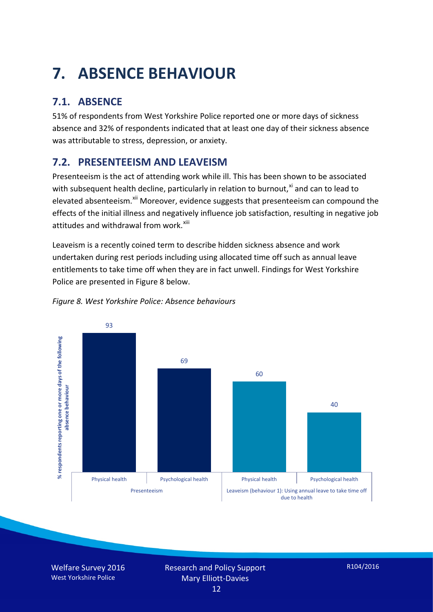# **7. ABSENCE BEHAVIOUR**

## **7.1. ABSENCE**

51% of respondents from West Yorkshire Police reported one or more days of sickness absence and 32% of respondents indicated that at least one day of their sickness absence was attributable to stress, depression, or anxiety.

## **7.2. PRESENTEEISM AND LEAVEISM**

Presenteeism is the act of attending work while ill. This has been shown to be associated with subsequent health decline, particularly in relation to burnout, $x_i$  and can to lead to elevated absenteeism.<sup>[xii](#page-16-1)</sup> Moreover, evidence suggests that presenteeism can compound the effects of the initial illness and negatively influence job satisfaction, resulting in negative job attitudes and withdrawal from work.<sup>[xiii](#page-16-2)</sup>

Leaveism is a recently coined term to describe hidden sickness absence and work undertaken during rest periods including using allocated time off such as annual leave entitlements to take time off when they are in fact unwell. Findings for West Yorkshire Police are presented in Figure 8 below.



#### *Figure 8. West Yorkshire Police: Absence behaviours*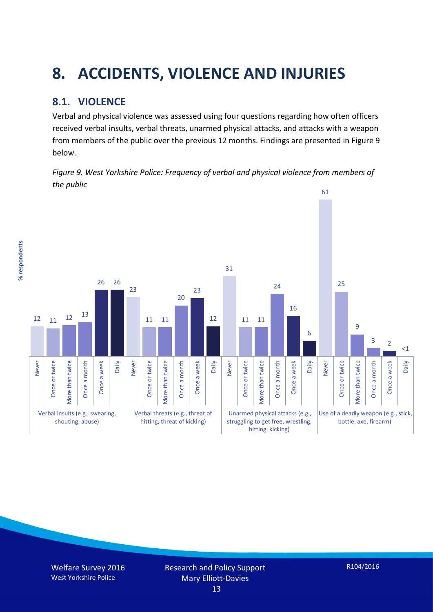# **8. ACCIDENTS, VIOLENCE AND INJURIES**

## **8.1. VIOLENCE**

% respondents **% respondents**

Verbal and physical violence was assessed using four questions regarding how often officers received verbal insults, verbal threats, unarmed physical attacks, and attacks with a weapon from members of the public over the previous 12 months. Findings are presented in Figure 9 below.

*Figure 9. West Yorkshire Police: Frequency of verbal and physical violence from members of the public*

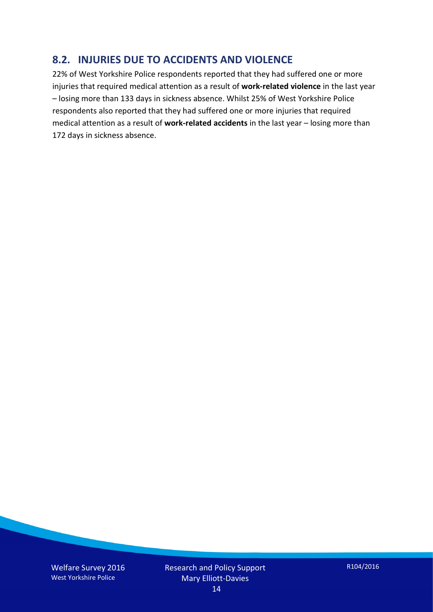#### **8.2. INJURIES DUE TO ACCIDENTS AND VIOLENCE**

22% of West Yorkshire Police respondents reported that they had suffered one or more injuries that required medical attention as a result of **work-related violence** in the last year – losing more than 133 days in sickness absence. Whilst 25% of West Yorkshire Police respondents also reported that they had suffered one or more injuries that required medical attention as a result of **work-related accidents** in the last year – losing more than 172 days in sickness absence.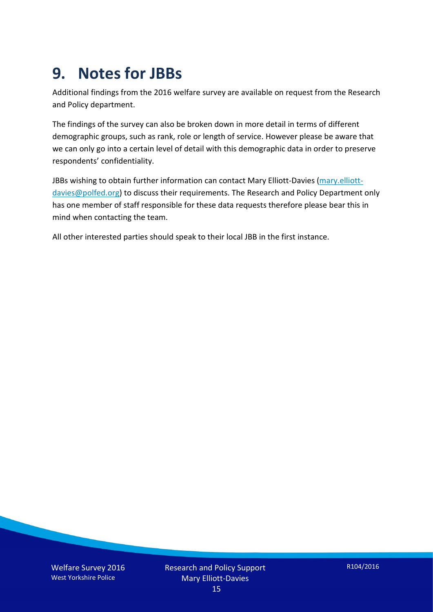## **9. Notes for JBBs**

Additional findings from the 2016 welfare survey are available on request from the Research and Policy department.

The findings of the survey can also be broken down in more detail in terms of different demographic groups, such as rank, role or length of service. However please be aware that we can only go into a certain level of detail with this demographic data in order to preserve respondents' confidentiality.

JBBs wishing to obtain further information can contact Mary Elliott-Davies [\(mary.elliott](mailto:mary.elliott-davies@polfed.org)[davies@polfed.org\)](mailto:mary.elliott-davies@polfed.org) to discuss their requirements. The Research and Policy Department only has one member of staff responsible for these data requests therefore please bear this in mind when contacting the team.

All other interested parties should speak to their local JBB in the first instance.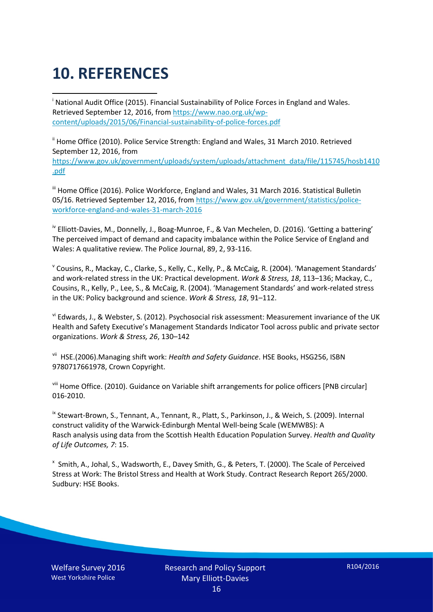# **10. REFERENCES**

<span id="page-15-0"></span>i National Audit Office (2015). Financial Sustainability of Police Forces in England and Wales. Retrieved September 12, 2016, fro[m https://www.nao.org.uk/wp](https://www.nao.org.uk/wp-content/uploads/2015/06/Financial-sustainability-of-police-forces.pdf)[content/uploads/2015/06/Financial-sustainability-of-police-forces.pdf](https://www.nao.org.uk/wp-content/uploads/2015/06/Financial-sustainability-of-police-forces.pdf)

<span id="page-15-1"></span><sup>ii</sup> Home Office (2010). Police Service Strength: England and Wales, 31 March 2010. Retrieved September 12, 2016, from [https://www.gov.uk/government/uploads/system/uploads/attachment\\_data/file/115745/hosb1410](https://www.gov.uk/government/uploads/system/uploads/attachment_data/file/115745/hosb1410.pdf) [.pdf](https://www.gov.uk/government/uploads/system/uploads/attachment_data/file/115745/hosb1410.pdf)

<span id="page-15-2"></span><sup>iii</sup> Home Office (2016). Police Workforce, England and Wales, 31 March 2016. Statistical Bulletin 05/16. Retrieved September 12, 2016, fro[m https://www.gov.uk/government/statistics/police](https://www.gov.uk/government/statistics/police-workforce-england-and-wales-31-march-2016)[workforce-england-and-wales-31-march-2016](https://www.gov.uk/government/statistics/police-workforce-england-and-wales-31-march-2016)

<span id="page-15-3"></span><sup>iv</sup> Elliott-Davies, M., Donnelly, J., Boag-Munroe, F., & Van Mechelen, D. (2016). 'Getting a battering' The perceived impact of demand and capacity imbalance within the Police Service of England and Wales: A qualitative review. The Police Journal, 89, 2, 93-116.

<span id="page-15-4"></span><sup>v</sup> Cousins, R., Mackay, C., Clarke, S., Kelly, C., Kelly, P., & McCaig, R. (2004). 'Management Standards' and work-related stress in the UK: Practical development. *Work & Stress, 18*, 113–136; Mackay, C., Cousins, R., Kelly, P., Lee, S., & McCaig, R. (2004). 'Management Standards' and work-related stress in the UK: Policy background and science. *Work & Stress, 18*, 91–112.

<span id="page-15-5"></span>vi Edwards, J., & Webster, S. (2012). Psychosocial risk assessment: Measurement invariance of the UK Health and Safety Executive's Management Standards Indicator Tool across public and private sector organizations. *Work & Stress, 26*, 130–142

<span id="page-15-6"></span>vii HSE.(2006).Managing shift work: *Health and Safety Guidance*. HSE Books, HSG256, ISBN 9780717661978, Crown Copyright.

<span id="page-15-7"></span>viii Home Office. (2010). Guidance on Variable shift arrangements for police officers [PNB circular] 016-2010.

<span id="page-15-8"></span><sup>ix</sup> Stewart-Brown, S., Tennant, A., Tennant, R., Platt, S., Parkinson, J., & Weich, S. (2009). Internal construct validity of the Warwick-Edinburgh Mental Well-being Scale (WEMWBS): A Rasch analysis using data from the Scottish Health Education Population Survey. *Health and Quality of Life Outcomes, 7*: 15.

<span id="page-15-9"></span>x Smith, A., Johal, S., Wadsworth, E., Davey Smith, G., & Peters, T. (2000). The Scale of Perceived Stress at Work: The Bristol Stress and Health at Work Study. Contract Research Report 265/2000. Sudbury: HSE Books.